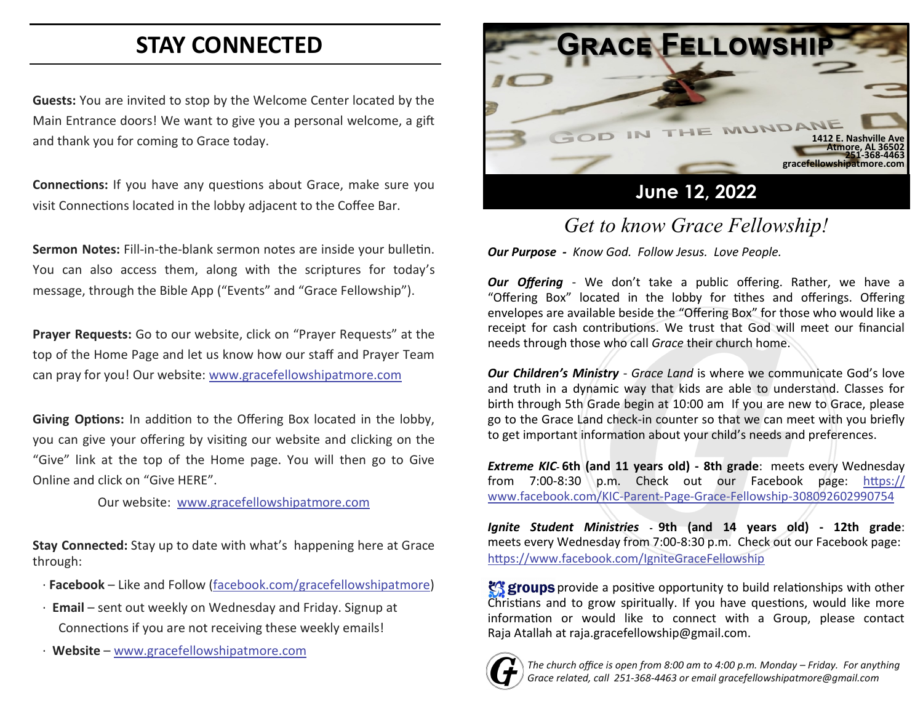# **STAY CONNECTED**

**Guests:** You are invited to stop by the Welcome Center located by the Main Entrance doors! We want to give you a personal welcome, a gift and thank you for coming to Grace today.

**Connections:** If you have any questions about Grace, make sure you visit Connections located in the lobby adjacent to the Coffee Bar.

**Sermon Notes:** Fill-in-the-blank sermon notes are inside your bulletin. You can also access them, along with the scriptures for today's message, through the Bible App ("Events" and "Grace Fellowship").

**Prayer Requests:** Go to our website, click on "Prayer Requests" at the top of the Home Page and let us know how our staff and Prayer Team can pray for you! Our website: [www.gracefellowshipatmore.com](http://www.gracefellowshipatmore.com/)

**Giving Options:** In addition to the Offering Box located in the lobby, you can give your offering by visiting our website and clicking on the "Give" link at the top of the Home page. You will then go to Give Online and click on "Give HERE".

Our website: [www.gracefellowshipatmore.com](http://www.gracefellowshipatmore.com/)

**Stay Connected:** Stay up to date with what's happening here at Grace through:

- · **Facebook**  Like and Follow (facebook.com/gracefellowshipatmore)
- · **Email**  sent out weekly on Wednesday and Friday. Signup at Connections if you are not receiving these weekly emails!
- · **Website** [www.gracefellowshipatmore.com](http://www.gracefellowshipatmore.com/)



## *Get to know Grace Fellowship!*

*Our Purpose - Know God. Follow Jesus. Love People.*

*Our Offering* - We don't take a public offering. Rather, we have a "Offering Box" located in the lobby for tithes and offerings. Offering envelopes are available beside the "Offering Box" for those who would like a receipt for cash contributions. We trust that God will meet our financial needs through those who call *Grace* their church home.

*Our Children's Ministry* - *Grace Land* is where we communicate God's love and truth in a dynamic way that kids are able to understand. Classes for birth through 5th Grade begin at 10:00 am If you are new to Grace, please go to the Grace Land check-in counter so that we can meet with you briefly to get important information about your child's needs and preferences.

*Extreme KIC***- 6th (and 11 years old) - 8th grade**: meets every Wednesday from 7:00-8:30 p.m. Check out our Facebook page: https:// www.facebook.com/KIC-Parent-Page-Grace-Fellowship-308092602990754

*Ignite Student Ministries* **- 9th (and 14 years old) - 12th grade**: meets every Wednesday from 7:00-8:30 p.m. Check out our Facebook page: <https://www.facebook.com/IgniteGraceFellowship>

**终 groups** provide a positive opportunity to build relationships with other Christians and to grow spiritually. If you have questions, would like more information or would like to connect with a Group, please contact Raja Atallah at raja.gracefellowship@gmail.com.



*The church office is open from 8:00 am to 4:00 p.m. Monday – Friday. For anything Grace related, call 251-368-4463 or email gracefellowshipatmore@gmail.com*